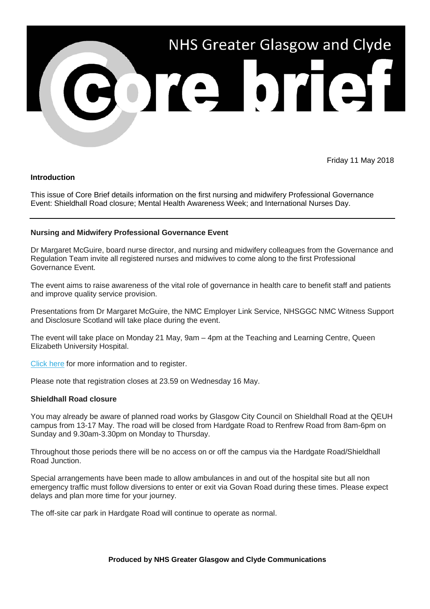

Friday 11 May 2018

#### **Introduction**

This issue of Core Brief details information on the first nursing and midwifery Professional Governance Event: Shieldhall Road closure; Mental Health Awareness Week; and International Nurses Day.

#### **Nursing and Midwifery Professional Governance Event**

Dr Margaret McGuire, board nurse director, and nursing and midwifery colleagues from the Governance and Regulation Team invite all registered nurses and midwives to come along to the first Professional Governance Event.

The event aims to raise awareness of the vital role of governance in health care to benefit staff and patients and improve quality service provision.

Presentations from Dr Margaret McGuire, the NMC Employer Link Service, NHSGGC NMC Witness Support and Disclosure Scotland will take place during the event.

The event will take place on Monday 21 May, 9am – 4pm at the Teaching and Learning Centre, Queen Elizabeth University Hospital.

[Click here](https://nhsggc.us12.list-manage.com/track/click?u=0f385b5aea37eaf0213bd19fb&id=773b938e72&e=5af5e1832c) for more information and to register.

Please note that registration closes at 23.59 on Wednesday 16 May.

#### **Shieldhall Road closure**

You may already be aware of planned road works by Glasgow City Council on Shieldhall Road at the QEUH campus from 13-17 May. The road will be closed from Hardgate Road to Renfrew Road from 8am-6pm on Sunday and 9.30am-3.30pm on Monday to Thursday.

Throughout those periods there will be no access on or off the campus via the Hardgate Road/Shieldhall Road Junction.

Special arrangements have been made to allow ambulances in and out of the hospital site but all non emergency traffic must follow diversions to enter or exit via Govan Road during these times. Please expect delays and plan more time for your journey.

The off-site car park in Hardgate Road will continue to operate as normal.

**Produced by NHS Greater Glasgow and Clyde Communications**